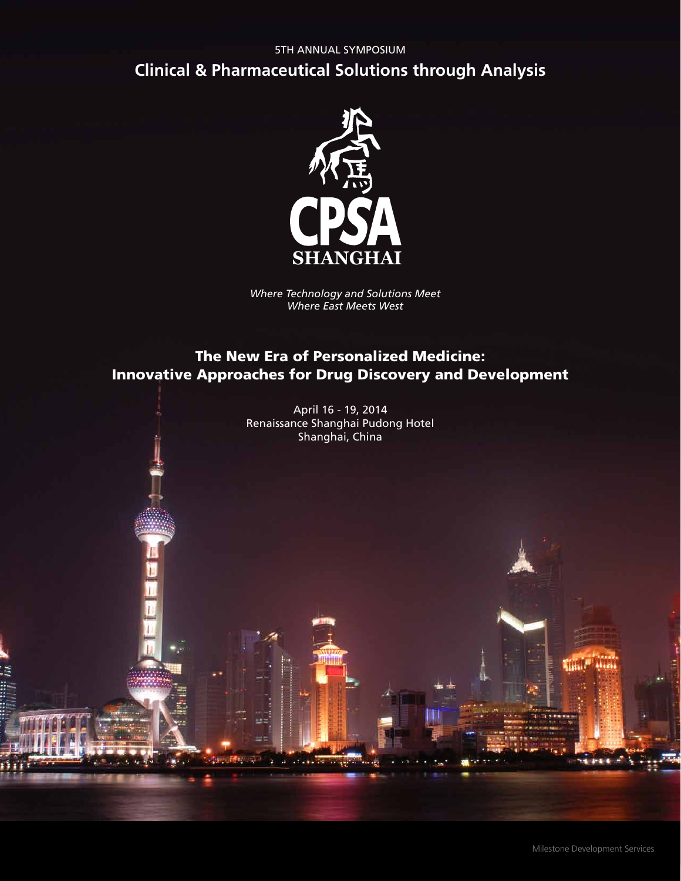## 5TH ANNUAL SYMPOSIUM **Clinical & Pharmaceutical Solutions through Analysis**



*Where Technology and Solutions Meet Where East Meets West*

## The New Era of Personalized Medicine: Innovative Approaches for Drug Discovery and Development

April 16 - 19, 2014 Renaissance Shanghai Pudong Hotel Shanghai, China

SK.

Milestone Development Services

**TILL!** 

Abasis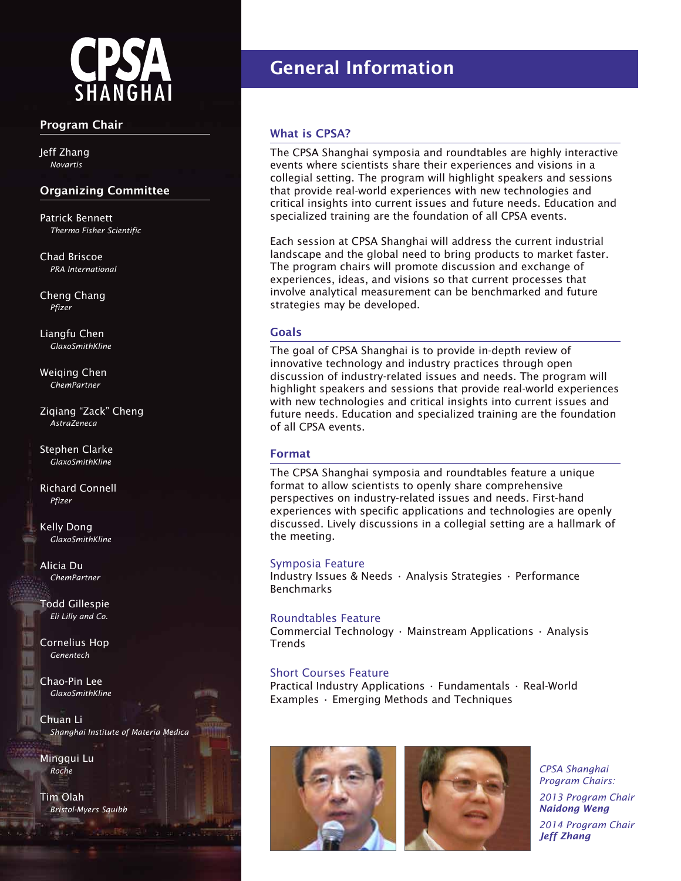

#### **Program Chair**

Jeff Zhang *Novartis*

#### **Organizing Committee**

Patrick Bennett *Thermo Fisher Scientific*

Chad Briscoe *PRA International*

Cheng Chang *Pfizer*

Liangfu Chen *GlaxoSmithKline*

Weiqing Chen *ChemPartner*

Ziqiang "Zack" Cheng *AstraZeneca*

Stephen Clarke *GlaxoSmithKline*

Richard Connell *Pfizer*

Kelly Dong *GlaxoSmithKline*

Alicia Du *ChemPartner*

Todd Gillespie *Eli Lilly and Co.*

Cornelius Hop *Genentech*

Chao-Pin Lee *GlaxoSmithKline*

Chuan Li *Shanghai Institute of Materia Medica*

Mingqui Lu *Roche*

Tim Olah *Bristol-Myers Squibb*

# **General Information**

#### **What is CPSA?**

The CPSA Shanghai symposia and roundtables are highly interactive events where scientists share their experiences and visions in a collegial setting. The program will highlight speakers and sessions that provide real-world experiences with new technologies and critical insights into current issues and future needs. Education and specialized training are the foundation of all CPSA events.

Each session at CPSA Shanghai will address the current industrial landscape and the global need to bring products to market faster. The program chairs will promote discussion and exchange of experiences, ideas, and visions so that current processes that involve analytical measurement can be benchmarked and future strategies may be developed.

#### **Goals**

The goal of CPSA Shanghai is to provide in-depth review of innovative technology and industry practices through open discussion of industry-related issues and needs. The program will highlight speakers and sessions that provide real-world experiences with new technologies and critical insights into current issues and future needs. Education and specialized training are the foundation of all CPSA events.

#### **Format**

The CPSA Shanghai symposia and roundtables feature a unique format to allow scientists to openly share comprehensive perspectives on industry-related issues and needs. First-hand experiences with specific applications and technologies are openly discussed. Lively discussions in a collegial setting are a hallmark of the meeting.

#### Symposia Feature

Industry Issues & Needs • Analysis Strategies • Performance Benchmarks

#### Roundtables Feature

Commercial Technology • Mainstream Applications • Analysis **Trends** 

#### Short Courses Feature

Practical Industry Applications • Fundamentals • Real-World Examples • Emerging Methods and Techniques





*CPSA Shanghai Program Chairs:* 

*2013 Program Chair Naidong Weng*

*2014 Program Chair Jeff Zhang*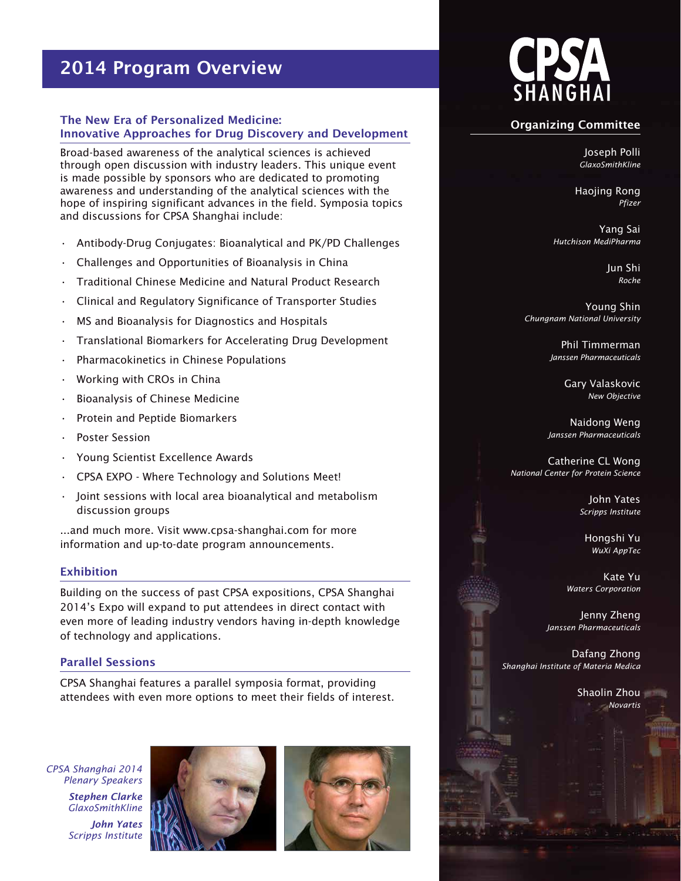## **2014 Program Overview**

#### **The New Era of Personalized Medicine: Innovative Approaches for Drug Discovery and Development**

Broad-based awareness of the analytical sciences is achieved through open discussion with industry leaders. This unique event is made possible by sponsors who are dedicated to promoting awareness and understanding of the analytical sciences with the hope of inspiring significant advances in the field. Symposia topics and discussions for CPSA Shanghai include:

- Antibody-Drug Conjugates: Bioanalytical and PK/PD Challenges
- Challenges and Opportunities of Bioanalysis in China
- Traditional Chinese Medicine and Natural Product Research
- Clinical and Regulatory Significance of Transporter Studies
- MS and Bioanalysis for Diagnostics and Hospitals
- Translational Biomarkers for Accelerating Drug Development
- Pharmacokinetics in Chinese Populations
- Working with CROs in China
- Bioanalysis of Chinese Medicine
- Protein and Peptide Biomarkers
- Poster Session
- Young Scientist Excellence Awards
- CPSA EXPO Where Technology and Solutions Meet!
- Joint sessions with local area bioanalytical and metabolism discussion groups

...and much more. Visit www.cpsa-shanghai.com for more information and up-to-date program announcements.

#### **Exhibition**

Building on the success of past CPSA expositions, CPSA Shanghai 2014's Expo will expand to put attendees in direct contact with even more of leading industry vendors having in-depth knowledge of technology and applications.

#### **Parallel Sessions**

CPSA Shanghai features a parallel symposia format, providing attendees with even more options to meet their fields of interest.

*CPSA Shanghai 2014 Plenary Speakers*

> *Stephen Clarke GlaxoSmithKline John Yates Scripps Institute*







#### **Organizing Committee**

Joseph Polli *GlaxoSmithKline* 

Haojing Rong *Pfizer*

Yang Sai *Hutchison MediPharma*

> Jun Shi *Roche*

Young Shin *Chungnam National University*

> Phil Timmerman *Janssen Pharmaceuticals*

> > Gary Valaskovic *New Objective*

Naidong Weng *Janssen Pharmaceuticals*

Catherine CL Wong *National Center for Protein Science*

> John Yates *Scripps Institute*

Hongshi Yu *WuXi AppTec*

Kate Yu *Waters Corporation*

Jenny Zheng *Janssen Pharmaceuticals*

Dafang Zhong *Shanghai Institute of Materia Medica*

> Shaolin Zhou *Novartis*